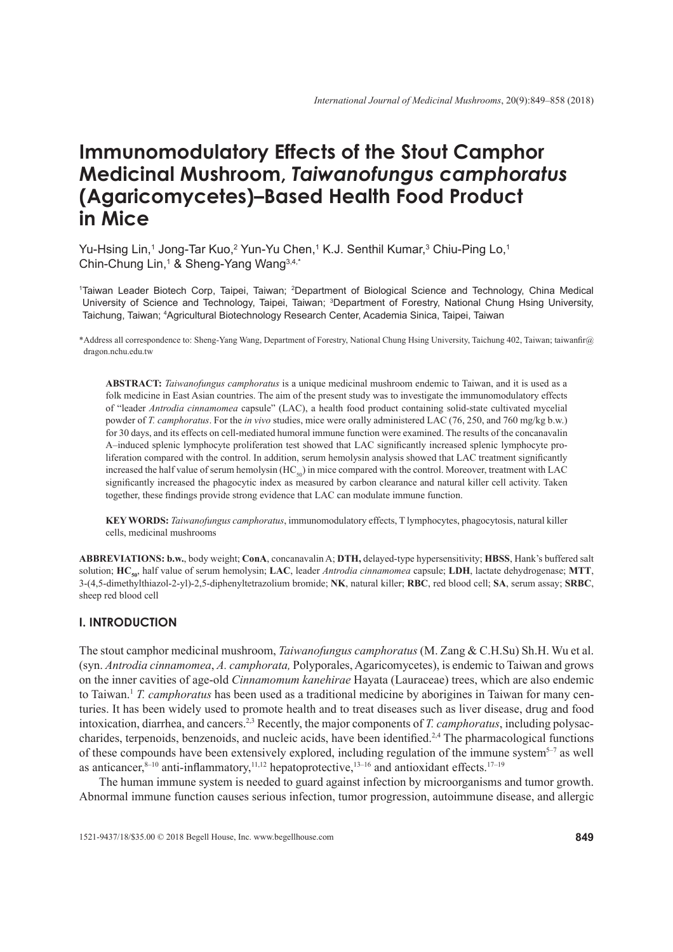# **Immunomodulatory Effects of the Stout Camphor Medicinal Mushroom,** *Taiwanofungus camphoratus* **(Agaricomycetes)–Based Health Food Product in Mice**

Yu-Hsing Lin,<sup>1</sup> Jong-Tar Kuo,<sup>2</sup> Yun-Yu Chen,<sup>1</sup> K.J. Senthil Kumar,<sup>3</sup> Chiu-Ping Lo,<sup>1</sup> Chin-Chung Lin,<sup>1</sup> & Sheng-Yang Wang<sup>3,4,\*</sup>

1 Taiwan Leader Biotech Corp, Taipei, Taiwan; 2 Department of Biological Science and Technology, China Medical University of Science and Technology, Taipei, Taiwan; <sup>3</sup>Department of Forestry, National Chung Hsing University, Taichung, Taiwan; 4 Agricultural Biotechnology Research Center, Academia Sinica, Taipei, Taiwan

\*Address all correspondence to: Sheng-Yang Wang, Department of Forestry, National Chung Hsing University, Taichung 402, Taiwan; taiwanfir@ dragon.nchu.edu.tw

**ABSTRACT:** *Taiwanofungus camphoratus* is a unique medicinal mushroom endemic to Taiwan, and it is used as a folk medicine in East Asian countries. The aim of the present study was to investigate the immunomodulatory effects of "leader *Antrodia cinnamomea* capsule" (LAC), a health food product containing solid-state cultivated mycelial powder of *T. camphoratus*. For the *in vivo* studies, mice were orally administered LAC (76, 250, and 760 mg/kg b.w.) for 30 days, and its effects on cell-mediated humoral immune function were examined. The results of the concanavalin A-induced splenic lymphocyte proliferation test showed that LAC significantly increased splenic lymphocyte proliferation compared with the control. In addition, serum hemolysin analysis showed that LAC treatment significantly increased the half value of serum hemolysin  $(HC_{50})$  in mice compared with the control. Moreover, treatment with LAC significantly increased the phagocytic index as measured by carbon clearance and natural killer cell activity. Taken together, these findings provide strong evidence that LAC can modulate immune function.

**KEY WORDS:** *Taiwanofungus camphoratus*, immunomodulatory effects, T lymphocytes, phagocytosis, natural killer cells, medicinal mushrooms

**ABBREVIATIONS: b.w.**, body weight; **ConA**, concanavalin A; **DTH,** delayed-type hypersensitivity; **HBSS**, Hank's buffered salt solution; **HC50**, half value of serum hemolysin; **LAC**, leader *Antrodia cinnamomea* capsule; **LDH**, lactate dehydrogenase; **MTT**, 3-(4,5-dimethylthiazol-2-yl)-2,5-diphenyltetrazolium bromide; **NK**, natural killer; **RBC**, red blood cell; **SA**, serum assay; **SRBC**, sheep red blood cell

# **I. INTRODUCTION**

The stout camphor medicinal mushroom, *Taiwanofungus camphoratus* (M. Zang & C.H.Su) Sh.H. Wu et al. (syn. *Antrodia cinnamomea*, *A. camphorata,* Polyporales, Agaricomycetes), is endemic to Taiwan and grows on the inner cavities of age-old *Cinnamomum kanehirae* Hayata (Lauraceae) trees, which are also endemic to Taiwan.1 *T. camphoratus* has been used as a traditional medicine by aborigines in Taiwan for many centuries. It has been widely used to promote health and to treat diseases such as liver disease, drug and food intoxication, diarrhea, and cancers.2,3 Recently, the major components of *T. camphoratus*, including polysaccharides, terpenoids, benzenoids, and nucleic acids, have been identified.<sup>2,4</sup> The pharmacological functions of these compounds have been extensively explored, including regulation of the immune system<sup>5–7</sup> as well as anticancer, $8-10$  anti-inflammatory,  $11,12$  hepatoprotective,  $13-16$  and antioxidant effects.  $17-19$ 

The human immune system is needed to guard against infection by microorganisms and tumor growth. Abnormal immune function causes serious infection, tumor progression, autoimmune disease, and allergic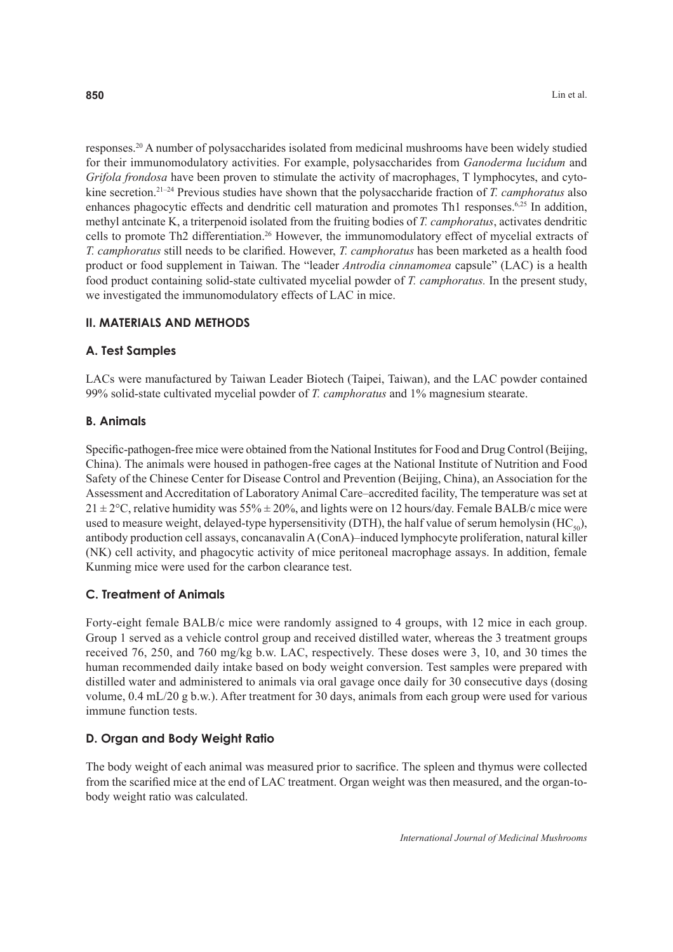responses.20 A number of polysaccharides isolated from medicinal mushrooms have been widely studied for their immunomodulatory activities. For example, polysaccharides from *Ganoderma lucidum* and *Grifola frondosa* have been proven to stimulate the activity of macrophages, T lymphocytes, and cytokine secretion.21–24 Previous studies have shown that the polysaccharide fraction of *T. camphoratus* also enhances phagocytic effects and dendritic cell maturation and promotes Th1 responses.<sup>6,25</sup> In addition, methyl antcinate K, a triterpenoid isolated from the fruiting bodies of *T. camphoratus*, activates dendritic cells to promote Th2 differentiation.26 However, the immunomodulatory effect of mycelial extracts of *T. camphoratus* still needs to be clarified. However, *T. camphoratus* has been marketed as a health food product or food supplement in Taiwan. The "leader *Antrodia cinnamomea* capsule" (LAC) is a health food product containing solid-state cultivated mycelial powder of *T. camphoratus.* In the present study, we investigated the immunomodulatory effects of LAC in mice.

## **II. MATERIALS AND METHODS**

## **A. Test Samples**

LACs were manufactured by Taiwan Leader Biotech (Taipei, Taiwan), and the LAC powder contained 99% solid-state cultivated mycelial powder of *T. camphoratus* and 1% magnesium stearate.

## **B. Animals**

Specific-pathogen-free mice were obtained from the National Institutes for Food and Drug Control (Beijing, China). The animals were housed in pathogen-free cages at the National Institute of Nutrition and Food Safety of the Chinese Center for Disease Control and Prevention (Beijing, China), an Association for the Assessment and Accreditation of Laboratory Animal Care–accredited facility, The temperature was set at  $21 \pm 2$ °C, relative humidity was  $55\% \pm 20\%$ , and lights were on 12 hours/day. Female BALB/c mice were used to measure weight, delayed-type hypersensitivity (DTH), the half value of serum hemolysin  $(HC<sub>60</sub>)$ , antibody production cell assays, concanavalin A (ConA)–induced lymphocyte proliferation, natural killer (NK) cell activity, and phagocytic activity of mice peritoneal macrophage assays. In addition, female Kunming mice were used for the carbon clearance test.

# **C. Treatment of Animals**

Forty-eight female BALB/c mice were randomly assigned to 4 groups, with 12 mice in each group. Group 1 served as a vehicle control group and received distilled water, whereas the 3 treatment groups received 76, 250, and 760 mg/kg b.w. LAC, respectively. These doses were 3, 10, and 30 times the human recommended daily intake based on body weight conversion. Test samples were prepared with distilled water and administered to animals via oral gavage once daily for 30 consecutive days (dosing volume, 0.4 mL/20 g b.w.). After treatment for 30 days, animals from each group were used for various immune function tests.

## **D. Organ and Body Weight Ratio**

The body weight of each animal was measured prior to sacrifice. The spleen and thymus were collected from the scarified mice at the end of LAC treatment. Organ weight was then measured, and the organ-tobody weight ratio was calculated.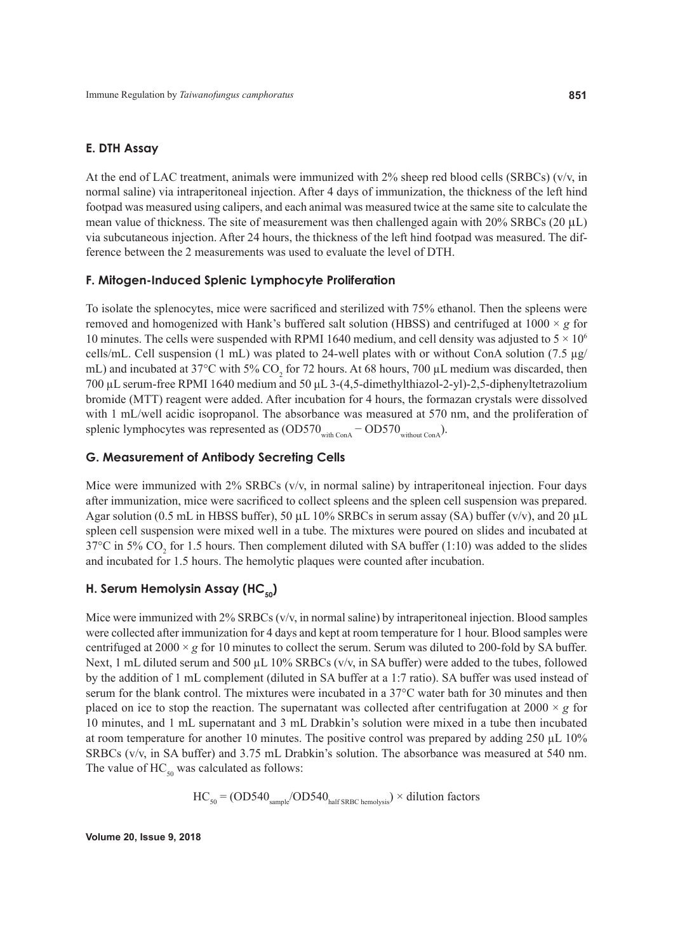## **E. DTH Assay**

At the end of LAC treatment, animals were immunized with 2% sheep red blood cells (SRBCs) (v/v, in normal saline) via intraperitoneal injection. After 4 days of immunization, the thickness of the left hind footpad was measured using calipers, and each animal was measured twice at the same site to calculate the mean value of thickness. The site of measurement was then challenged again with  $20\%$  SRBCs ( $20 \mu L$ ) via subcutaneous injection. After 24 hours, the thickness of the left hind footpad was measured. The difference between the 2 measurements was used to evaluate the level of DTH.

# **F. Mitogen-Induced Splenic Lymphocyte Proliferation**

To isolate the splenocytes, mice were sacrificed and sterilized with 75% ethanol. Then the spleens were removed and homogenized with Hank's buffered salt solution (HBSS) and centrifuged at  $1000 \times g$  for 10 minutes. The cells were suspended with RPMI 1640 medium, and cell density was adjusted to  $5 \times 10^6$ cells/mL. Cell suspension (1 mL) was plated to 24-well plates with or without ConA solution (7.5  $\mu$ g/ mL) and incubated at 37°C with 5%  $CO_2$  for 72 hours. At 68 hours, 700  $\mu$ L medium was discarded, then 700 µL serum-free RPMI 1640 medium and 50 µL 3-(4,5-dimethylthiazol-2-yl)-2,5-diphenyltetrazolium bromide (MTT) reagent were added. After incubation for 4 hours, the formazan crystals were dissolved with 1 mL/well acidic isopropanol. The absorbance was measured at 570 nm, and the proliferation of splenic lymphocytes was represented as  $(OD570_{with\text{Conf}} - OD570_{without\text{Conf}})$ .

# **G. Measurement of Antibody Secreting Cells**

Mice were immunized with 2% SRBCs (v/v, in normal saline) by intraperitoneal injection. Four days after immunization, mice were sacrificed to collect spleens and the spleen cell suspension was prepared. Agar solution (0.5 mL in HBSS buffer), 50  $\mu$ L 10% SRBCs in serum assay (SA) buffer (v/v), and 20  $\mu$ L spleen cell suspension were mixed well in a tube. The mixtures were poured on slides and incubated at 37°C in 5%  $CO_2$  for 1.5 hours. Then complement diluted with SA buffer (1:10) was added to the slides and incubated for 1.5 hours. The hemolytic plaques were counted after incubation.

# **H. Serum Hemolysin Assay (HC<sub>50</sub>)**

Mice were immunized with 2% SRBCs (v/v, in normal saline) by intraperitoneal injection. Blood samples were collected after immunization for 4 days and kept at room temperature for 1 hour. Blood samples were centrifuged at  $2000 \times g$  for 10 minutes to collect the serum. Serum was diluted to 200-fold by SA buffer. Next, 1 mL diluted serum and 500  $\mu$ L 10% SRBCs (v/v, in SA buffer) were added to the tubes, followed by the addition of 1 mL complement (diluted in SA buffer at a 1:7 ratio). SA buffer was used instead of serum for the blank control. The mixtures were incubated in a 37°C water bath for 30 minutes and then placed on ice to stop the reaction. The supernatant was collected after centrifugation at  $2000 \times g$  for 10 minutes, and 1 mL supernatant and 3 mL Drabkin's solution were mixed in a tube then incubated at room temperature for another 10 minutes. The positive control was prepared by adding  $250 \mu L$  10% SRBCs (v/v, in SA buffer) and 3.75 mL Drabkin's solution. The absorbance was measured at 540 nm. The value of  $HC_{50}$  was calculated as follows:

$$
HC_{50} = (OD540_{sample}/OD540_{half SRBC hemolysis}) \times dilution factors
$$

**Volume 20, Issue 9, 2018**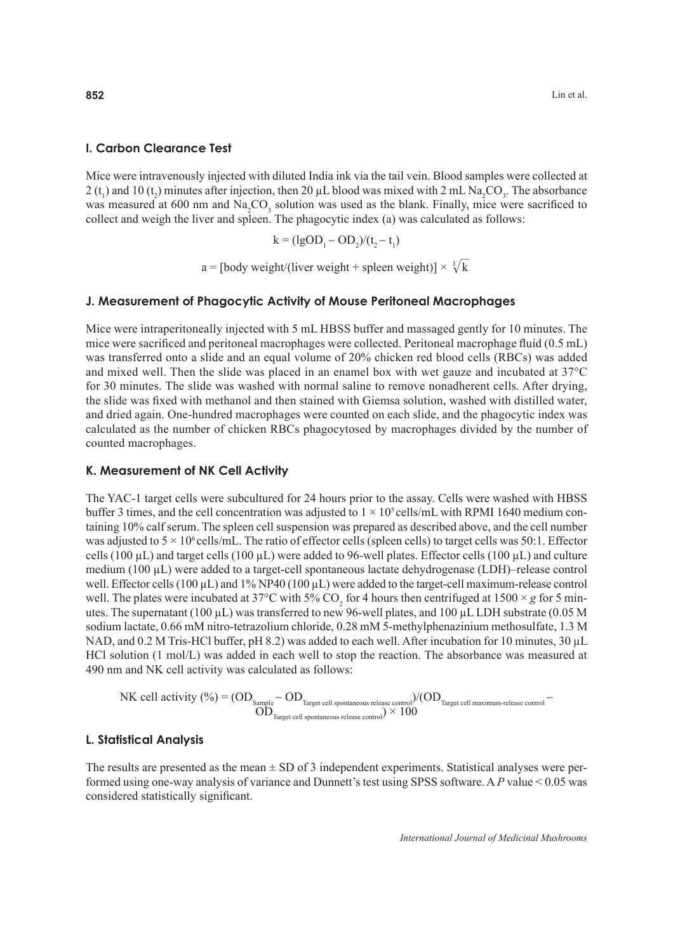#### **I. Carbon Clearance Test**

Mice were intravenously injected with diluted India ink via the tail vein. Blood samples were collected at 2 (t<sub>1</sub>) and 10 (t<sub>2</sub>) minutes after injection, then 20  $\mu$ L blood was mixed with 2 mL Na<sub>2</sub>CO<sub>3</sub>. The absorbance was measured at 600 nm and  $\text{Na}_2\text{CO}_3$  solution was used as the blank. Finally, mice were sacrificed to collect and weigh the liver and spleen. The phagocytic index (a) was calculated as follows:

$$
k = (\lg OD_1 - OD_2)/(t_2 - t_1)
$$

a = [body weight/(liver weight + spleen weight)]  $\times \sqrt[3]{k}$ 

#### **J. Measurement of Phagocytic Activity of Mouse Peritoneal Macrophages**

Mice were intraperitoneally injected with 5 mL HBSS buffer and massaged gently for 10 minutes. The mice were sacrificed and peritoneal macrophages were collected. Peritoneal macrophage fluid  $(0.5 \text{ mL})$ was transferred onto a slide and an equal volume of 20% chicken red blood cells (RBCs) was added and mixed well. Then the slide was placed in an enamel box with wet gauze and incubated at 37°C for 30 minutes. The slide was washed with normal saline to remove nonadherent cells. After drying, the slide was fixed with methanol and then stained with Giemsa solution, washed with distilled water, and dried again. One-hundred macrophages were counted on each slide, and the phagocytic index was calculated as the number of chicken RBCs phagocytosed by macrophages divided by the number of counted macrophages.

#### **K. Measurement of NK Cell Activity**

The YAC-1 target cells were subcultured for 24 hours prior to the assay. Cells were washed with HBSS buffer 3 times, and the cell concentration was adjusted to  $1 \times 10^5$  cells/mL with RPMI 1640 medium containing 10% calf serum. The spleen cell suspension was prepared as described above, and the cell number was adjusted to  $5 \times 10^6$  cells/mL. The ratio of effector cells (spleen cells) to target cells was 50:1. Effector cells (100  $\mu$ L) and target cells (100  $\mu$ L) were added to 96-well plates. Effector cells (100  $\mu$ L) and culture medium ( $100 \mu L$ ) were added to a target-cell spontaneous lactate dehydrogenase (LDH)–release control well. Effector cells (100  $\mu$ L) and 1% NP40 (100  $\mu$ L) were added to the target-cell maximum-release control well. The plates were incubated at 37°C with 5% CO<sub>2</sub> for 4 hours then centrifuged at 1500  $\times$  *g* for 5 minutes. The supernatant (100  $\mu$ L) was transferred to new 96-well plates, and 100  $\mu$ L LDH substrate (0.05 M sodium lactate, 0.66 mM nitro-tetrazolium chloride, 0.28 mM 5-methylphenazinium methosulfate, 1.3 M NAD, and 0.2 M Tris-HCl buffer, pH 8.2) was added to each well. After incubation for 10 minutes, 30 µL HCl solution (1 mol/L) was added in each well to stop the reaction. The absorbance was measured at 490 nm and NK cell activity was calculated as follows:

$$
\hbox{NK cell activity ($\%) = (OD_{Sample} - OD_{Target\ cell\ spontaneous\ release\ control})/(OD_{Target\ cell\ maximum\ release\ control} - OD_{Target\ cell\ spontaneous\ release\ control})/(OD_{Target\ cell\ maximum\ -\ relass\ control})}
$$

#### **L. Statistical Analysis**

The results are presented as the mean  $\pm$  SD of 3 independent experiments. Statistical analyses were performed using one-way analysis of variance and Dunnett's test using SPSS software. A *P* value < 0.05 was considered statistically significant.

*International Journal of Medicinal Mushrooms*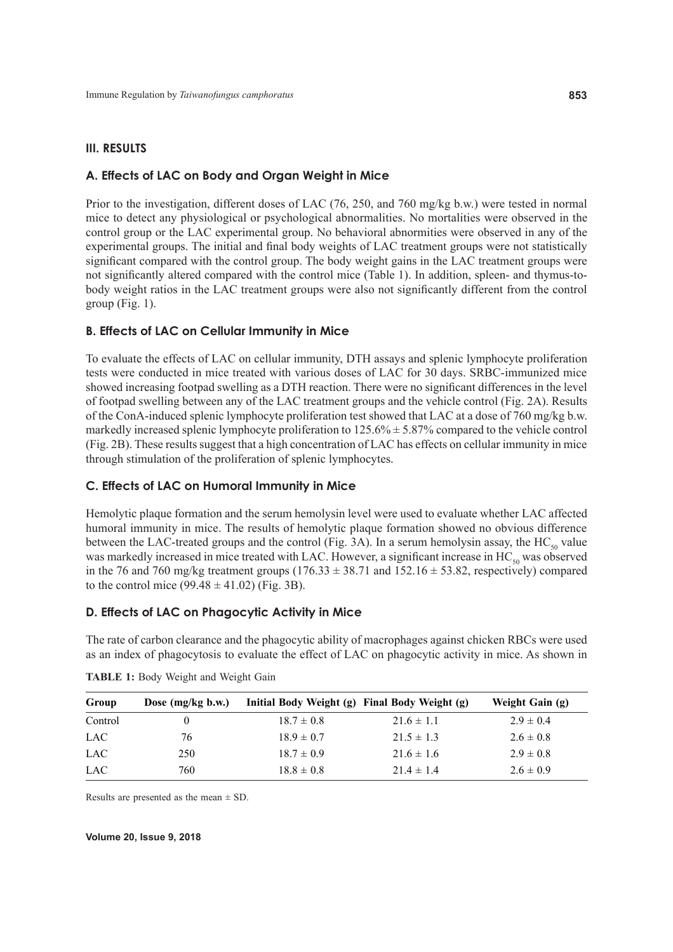#### **III. RESULTS**

## **A. Effects of LAC on Body and Organ Weight in Mice**

Prior to the investigation, different doses of LAC (76, 250, and 760 mg/kg b.w.) were tested in normal mice to detect any physiological or psychological abnormalities. No mortalities were observed in the control group or the LAC experimental group. No behavioral abnormities were observed in any of the experimental groups. The initial and final body weights of LAC treatment groups were not statistically significant compared with the control group. The body weight gains in the LAC treatment groups were not significantly altered compared with the control mice (Table 1). In addition, spleen- and thymus-tobody weight ratios in the LAC treatment groups were also not significantly different from the control group (Fig. 1).

## **B. Effects of LAC on Cellular Immunity in Mice**

To evaluate the effects of LAC on cellular immunity, DTH assays and splenic lymphocyte proliferation tests were conducted in mice treated with various doses of LAC for 30 days. SRBC-immunized mice showed increasing footpad swelling as a DTH reaction. There were no significant differences in the level of footpad swelling between any of the LAC treatment groups and the vehicle control (Fig. 2A). Results of the ConA-induced splenic lymphocyte proliferation test showed that LAC at a dose of 760 mg/kg b.w. markedly increased splenic lymphocyte proliferation to 125.6% ± 5.87% compared to the vehicle control (Fig. 2B). These results suggest that a high concentration of LAC has effects on cellular immunity in mice through stimulation of the proliferation of splenic lymphocytes.

## **C. Effects of LAC on Humoral Immunity in Mice**

Hemolytic plaque formation and the serum hemolysin level were used to evaluate whether LAC affected humoral immunity in mice. The results of hemolytic plaque formation showed no obvious difference between the LAC-treated groups and the control (Fig. 3A). In a serum hemolysin assay, the  $HC_{50}$  value was markedly increased in mice treated with LAC. However, a significant increase in  $HC_{50}$  was observed in the 76 and 760 mg/kg treatment groups  $(176.33 \pm 38.71)$  and  $152.16 \pm 53.82$ , respectively) compared to the control mice  $(99.48 \pm 41.02)$  (Fig. 3B).

## **D. Effects of LAC on Phagocytic Activity in Mice**

The rate of carbon clearance and the phagocytic ability of macrophages against chicken RBCs were used as an index of phagocytosis to evaluate the effect of LAC on phagocytic activity in mice. As shown in

| Group      | Dose $(mg/kg b.w.)$ | Initial Body Weight (g) Final Body Weight (g) |                | Weight Gain (g) |
|------------|---------------------|-----------------------------------------------|----------------|-----------------|
| Control    |                     | $18.7 \pm 0.8$                                | $21.6 \pm 1.1$ | $2.9 \pm 0.4$   |
| LAC.       | 76                  | $18.9 \pm 0.7$                                | $21.5 \pm 1.3$ | $2.6 \pm 0.8$   |
| <b>LAC</b> | 250                 | $18.7 \pm 0.9$                                | $21.6 \pm 1.6$ | $2.9 \pm 0.8$   |
| <b>LAC</b> | 760                 | $18.8 \pm 0.8$                                | $21.4 \pm 1.4$ | $2.6 \pm 0.9$   |

| TABLE 1: Body Weight and Weight Gain |  |  |  |  |  |  |
|--------------------------------------|--|--|--|--|--|--|
|--------------------------------------|--|--|--|--|--|--|

Results are presented as the mean  $\pm$  SD.

**Volume 20, Issue 9, 2018**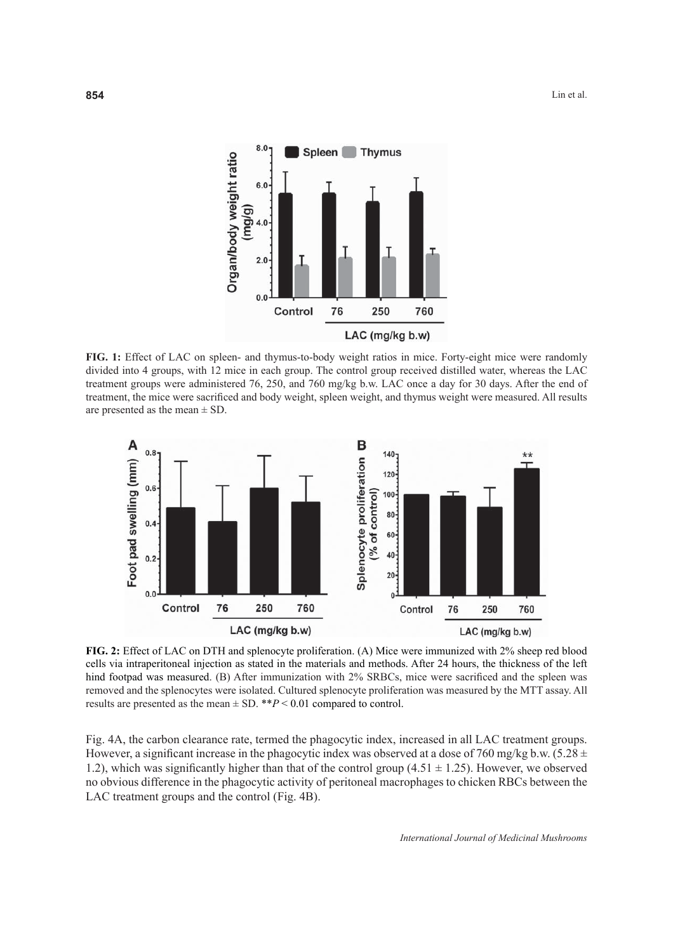

**FIG. 1:** Effect of LAC on spleen- and thymus-to-body weight ratios in mice. Forty-eight mice were randomly divided into 4 groups, with 12 mice in each group. The control group received distilled water, whereas the LAC treatment groups were administered 76, 250, and 760 mg/kg b.w. LAC once a day for 30 days. After the end of treatment, the mice were sacrificed and body weight, spleen weight, and thymus weight were measured. All results are presented as the mean  $\pm$  SD.



**FIG. 2:** Effect of LAC on DTH and splenocyte proliferation. (A) Mice were immunized with 2% sheep red blood cells via intraperitoneal injection as stated in the materials and methods. After 24 hours, the thickness of the left hind footpad was measured. (B) After immunization with 2% SRBCs, mice were sacrificed and the spleen was removed and the splenocytes were isolated. Cultured splenocyte proliferation was measured by the MTT assay. All results are presented as the mean  $\pm$  SD. \*\**P* < 0.01 compared to control.

Fig. 4A, the carbon clearance rate, termed the phagocytic index, increased in all LAC treatment groups. However, a significant increase in the phagocytic index was observed at a dose of 760 mg/kg b.w.  $(5.28 \pm 1.00)$ 1.2), which was significantly higher than that of the control group  $(4.51 \pm 1.25)$ . However, we observed no obvious difference in the phagocytic activity of peritoneal macrophages to chicken RBCs between the LAC treatment groups and the control (Fig. 4B).

*International Journal of Medicinal Mushrooms*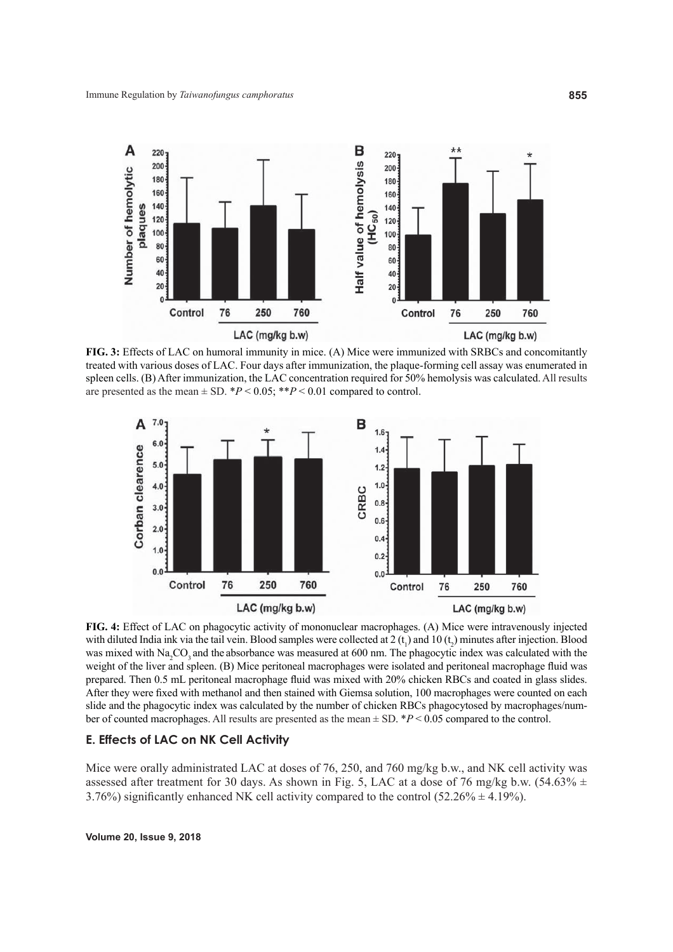

**FIG. 3:** Effects of LAC on humoral immunity in mice. (A) Mice were immunized with SRBCs and concomitantly treated with various doses of LAC. Four days after immunization, the plaque-forming cell assay was enumerated in spleen cells. (B) After immunization, the LAC concentration required for 50% hemolysis was calculated. All results are presented as the mean  $\pm$  SD. \**P* < 0.05; \*\**P* < 0.01 compared to control.



**FIG. 4:** Effect of LAC on phagocytic activity of mononuclear macrophages. (A) Mice were intravenously injected with diluted India ink via the tail vein. Blood samples were collected at  $2(t_1)$  and  $10(t_2)$  minutes after injection. Blood was mixed with Na<sub>2</sub>CO<sub>3</sub> and the absorbance was measured at 600 nm. The phagocytic index was calculated with the weight of the liver and spleen. (B) Mice peritoneal macrophages were isolated and peritoneal macrophage fluid was prepared. Then 0.5 mL peritoneal macrophage fluid was mixed with 20% chicken RBCs and coated in glass slides. After they were fixed with methanol and then stained with Giemsa solution, 100 macrophages were counted on each slide and the phagocytic index was calculated by the number of chicken RBCs phagocytosed by macrophages/number of counted macrophages. All results are presented as the mean ± SD. \**P* < 0.05 compared to the control.

# **E. Effects of LAC on NK Cell Activity**

Mice were orally administrated LAC at doses of 76, 250, and 760 mg/kg b.w., and NK cell activity was assessed after treatment for 30 days. As shown in Fig. 5, LAC at a dose of 76 mg/kg b.w. (54.63%  $\pm$ 3.76%) significantly enhanced NK cell activity compared to the control (52.26%  $\pm$  4.19%).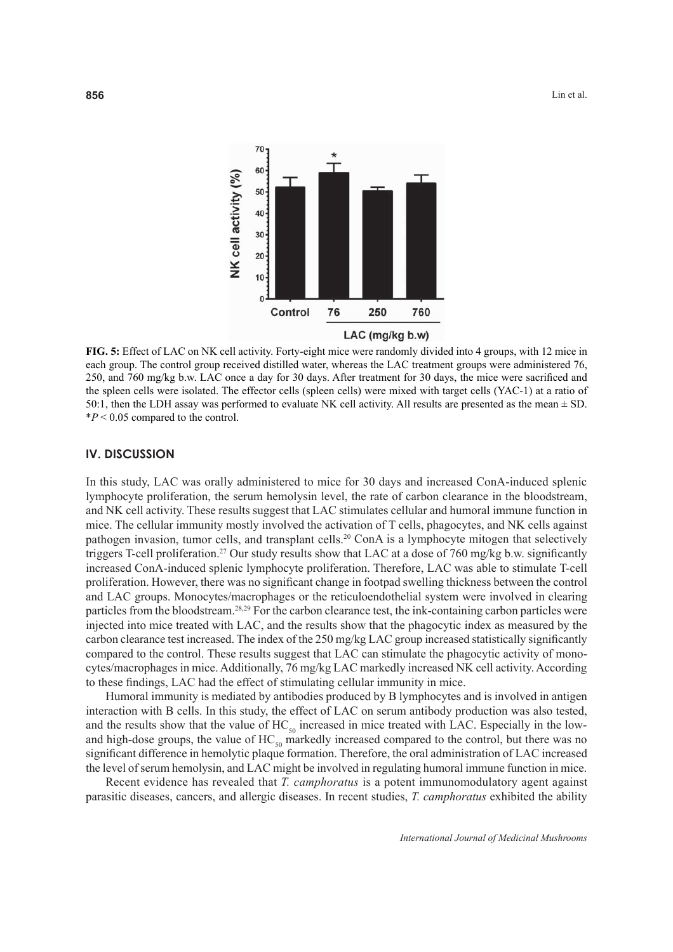

**FIG. 5:** Effect of LAC on NK cell activity. Forty-eight mice were randomly divided into 4 groups, with 12 mice in each group. The control group received distilled water, whereas the LAC treatment groups were administered 76, 250, and 760 mg/kg b.w. LAC once a day for 30 days. After treatment for 30 days, the mice were sacrificed and the spleen cells were isolated. The effector cells (spleen cells) were mixed with target cells (YAC-1) at a ratio of 50:1, then the LDH assay was performed to evaluate NK cell activity. All results are presented as the mean ± SD.  $*P < 0.05$  compared to the control.

# **IV. DISCUSSION**

In this study, LAC was orally administered to mice for 30 days and increased ConA-induced splenic lymphocyte proliferation, the serum hemolysin level, the rate of carbon clearance in the bloodstream, and NK cell activity. These results suggest that LAC stimulates cellular and humoral immune function in mice. The cellular immunity mostly involved the activation of T cells, phagocytes, and NK cells against pathogen invasion, tumor cells, and transplant cells.<sup>20</sup> ConA is a lymphocyte mitogen that selectively triggers T-cell proliferation.<sup>27</sup> Our study results show that LAC at a dose of 760 mg/kg b.w. significantly increased ConA-induced splenic lymphocyte proliferation. Therefore, LAC was able to stimulate T-cell proliferation. However, there was no significant change in footpad swelling thickness between the control and LAC groups. Monocytes/macrophages or the reticuloendothelial system were involved in clearing particles from the bloodstream.28,29 For the carbon clearance test, the ink-containing carbon particles were injected into mice treated with LAC, and the results show that the phagocytic index as measured by the carbon clearance test increased. The index of the 250 mg/kg LAC group increased statistically significantly compared to the control. These results suggest that LAC can stimulate the phagocytic activity of monocytes/macrophages in mice. Additionally, 76 mg/kg LAC markedly increased NK cell activity. According to these findings, LAC had the effect of stimulating cellular immunity in mice.

Humoral immunity is mediated by antibodies produced by B lymphocytes and is involved in antigen interaction with B cells. In this study, the effect of LAC on serum antibody production was also tested, and the results show that the value of  $HC_{50}$  increased in mice treated with LAC. Especially in the lowand high-dose groups, the value of  $HC_{50}$  markedly increased compared to the control, but there was no significant difference in hemolytic plaque formation. Therefore, the oral administration of LAC increased the level of serum hemolysin, and LAC might be involved in regulating humoral immune function in mice.

Recent evidence has revealed that *T. camphoratus* is a potent immunomodulatory agent against parasitic diseases, cancers, and allergic diseases. In recent studies, *T. camphoratus* exhibited the ability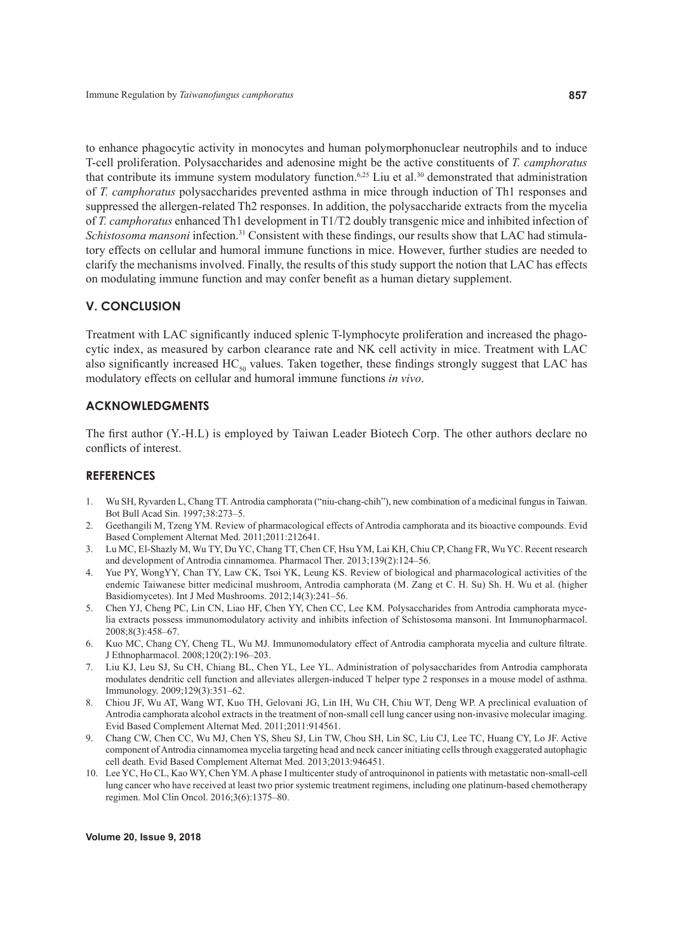to enhance phagocytic activity in monocytes and human polymorphonuclear neutrophils and to induce T-cell proliferation. Polysaccharides and adenosine might be the active constituents of *T. camphoratus* that contribute its immune system modulatory function.<sup>6,25</sup> Liu et al.<sup>30</sup> demonstrated that administration of *T. camphoratus* polysaccharides prevented asthma in mice through induction of Th1 responses and suppressed the allergen-related Th2 responses. In addition, the polysaccharide extracts from the mycelia of *T. camphoratus* enhanced Th1 development in T1/T2 doubly transgenic mice and inhibited infection of *Schistosoma mansoni* infection.<sup>31</sup> Consistent with these findings, our results show that LAC had stimulatory effects on cellular and humoral immune functions in mice. However, further studies are needed to clarify the mechanisms involved. Finally, the results of this study support the notion that LAC has effects on modulating immune function and may confer benefit as a human dietary supplement.

# **V. CONCLUSION**

Treatment with LAC significantly induced splenic T-lymphocyte proliferation and increased the phagocytic index, as measured by carbon clearance rate and NK cell activity in mice. Treatment with LAC also significantly increased  $HC<sub>so</sub>$  values. Taken together, these findings strongly suggest that LAC has modulatory effects on cellular and humoral immune functions *in vivo*.

## **ACKNOWLEDGMENTS**

The first author  $(Y-H.L)$  is employed by Taiwan Leader Biotech Corp. The other authors declare no conflicts of interest.

# **REFERENCES**

- 1. Wu SH, Ryvarden L, Chang TT. Antrodia camphorata ("niu-chang-chih"), new combination of a medicinal fungus in Taiwan. Bot Bull Acad Sin. 1997;38:273–5.
- 2. Geethangili M, Tzeng YM. Review of pharmacological effects of Antrodia camphorata and its bioactive compounds. Evid Based Complement Alternat Med. 2011;2011:212641.
- 3. Lu MC, El-Shazly M, Wu TY, Du YC, Chang TT, Chen CF, Hsu YM, Lai KH, Chiu CP, Chang FR, Wu YC. Recent research and development of Antrodia cinnamomea. Pharmacol Ther. 2013;139(2):124–56.
- 4. Yue PY, WongYY, Chan TY, Law CK, Tsoi YK, Leung KS. Review of biological and pharmacological activities of the endemic Taiwanese bitter medicinal mushroom, Antrodia camphorata (M. Zang et C. H. Su) Sh. H. Wu et al. (higher Basidiomycetes). Int J Med Mushrooms. 2012;14(3):241–56.
- 5. Chen YJ, Cheng PC, Lin CN, Liao HF, Chen YY, Chen CC, Lee KM. Polysaccharides from Antrodia camphorata mycelia extracts possess immunomodulatory activity and inhibits infection of Schistosoma mansoni. Int Immunopharmacol. 2008;8(3):458–67.
- 6. Kuo MC, Chang CY, Cheng TL, Wu MJ. Immunomodulatory effect of Antrodia camphorata mycelia and culture filtrate. J Ethnopharmacol. 2008;120(2):196–203.
- 7. Liu KJ, Leu SJ, Su CH, Chiang BL, Chen YL, Lee YL. Administration of polysaccharides from Antrodia camphorata modulates dendritic cell function and alleviates allergen-induced T helper type 2 responses in a mouse model of asthma. Immunology. 2009;129(3):351–62.
- 8. Chiou JF, Wu AT, Wang WT, Kuo TH, Gelovani JG, Lin IH, Wu CH, Chiu WT, Deng WP. A preclinical evaluation of Antrodia camphorata alcohol extracts in the treatment of non-small cell lung cancer using non-invasive molecular imaging. Evid Based Complement Alternat Med. 2011;2011:914561.
- 9. Chang CW, Chen CC, Wu MJ, Chen YS, Sheu SJ, Lin TW, Chou SH, Lin SC, Liu CJ, Lee TC, Huang CY, Lo JF. Active component of Antrodia cinnamomea mycelia targeting head and neck cancer initiating cells through exaggerated autophagic cell death. Evid Based Complement Alternat Med. 2013;2013:946451.
- 10. Lee YC, Ho CL, Kao WY, Chen YM. A phase I multicenter study of antroquinonol in patients with metastatic non-small-cell lung cancer who have received at least two prior systemic treatment regimens, including one platinum-based chemotherapy regimen. Mol Clin Oncol. 2016;3(6):1375-80.